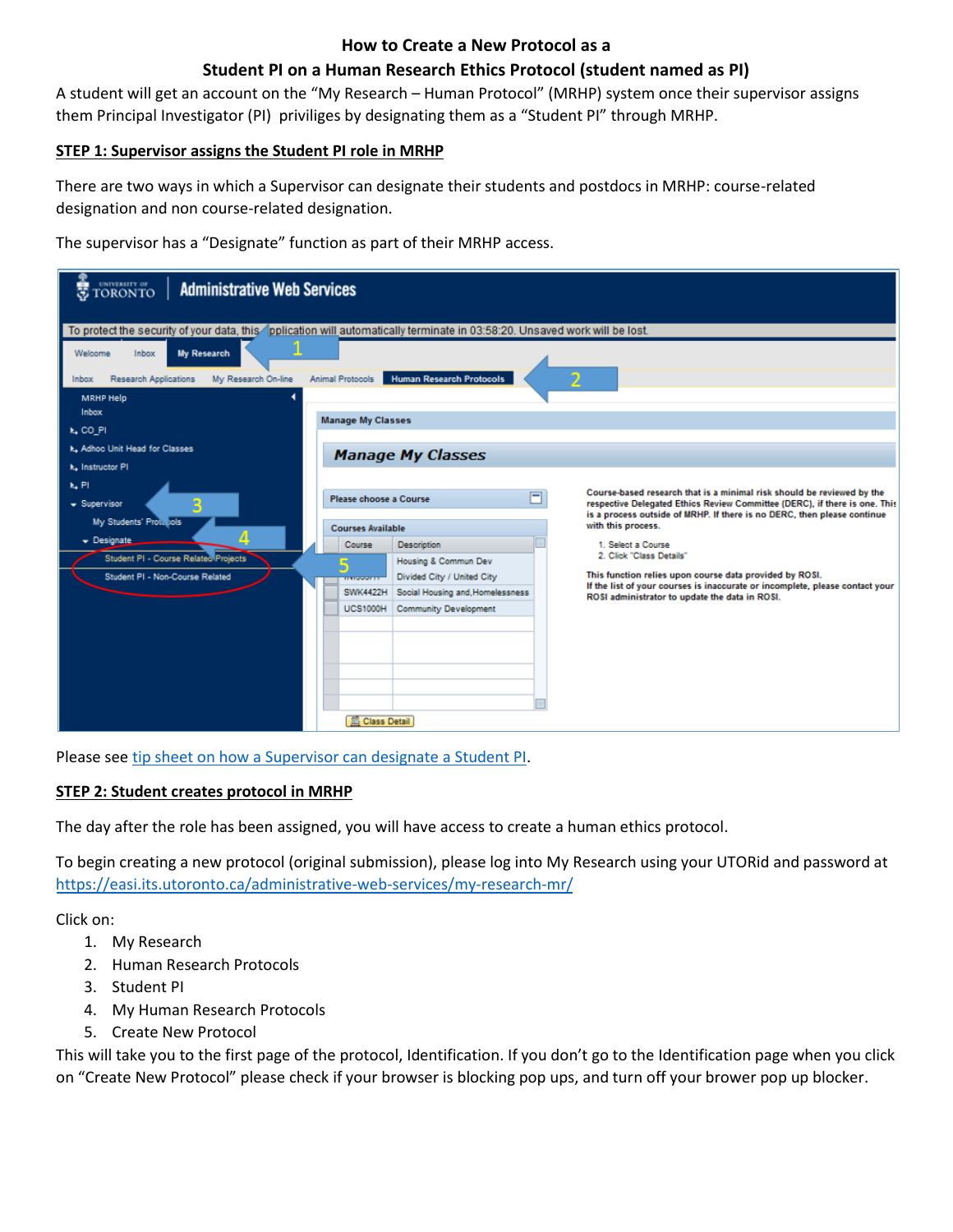#### **How to Create a New Protocol as a**

## **Student PI on a Human Research Ethics Protocol (student named as PI)**

A student will get an account on the "My Research – Human Protocol" (MRHP) system once their supervisor assigns them Principal Investigator (PI) priviliges by designating them as a "Student PI" through MRHP.

### **STEP 1: Supervisor assigns the Student PI role in MRHP**

There are two ways in which a Supervisor can designate their students and postdocs in MRHP: course-related designation and non course-related designation.

The supervisor has a "Designate" function as part of their MRHP access.

| <b>C</b> TORONTO<br><b>Administrative Web Services</b>                                                                     |                                                                                                                                                                                      |  |  |  |  |  |  |
|----------------------------------------------------------------------------------------------------------------------------|--------------------------------------------------------------------------------------------------------------------------------------------------------------------------------------|--|--|--|--|--|--|
| To protect the security of your data, this pplication will automatically terminate in 03:58:20. Unsaved work will be lost. |                                                                                                                                                                                      |  |  |  |  |  |  |
| <b>My Research</b><br>Welcome<br>Inbox<br><b>Research Applications</b><br>My Research On-line<br>Inbox                     | <b>Human Research Protocols</b><br>2<br>Animal Protocols                                                                                                                             |  |  |  |  |  |  |
| MRHP Help                                                                                                                  |                                                                                                                                                                                      |  |  |  |  |  |  |
|                                                                                                                            | Inbox<br><b>Manage My Classes</b>                                                                                                                                                    |  |  |  |  |  |  |
| k, CO PI                                                                                                                   |                                                                                                                                                                                      |  |  |  |  |  |  |
| k. Adhoc Unit Head for Classes<br><b>Manage My Classes</b>                                                                 |                                                                                                                                                                                      |  |  |  |  |  |  |
| k. Instructor PI                                                                                                           |                                                                                                                                                                                      |  |  |  |  |  |  |
| k. Pl                                                                                                                      | Course-based research that is a minimal risk should be reviewed by the                                                                                                               |  |  |  |  |  |  |
| $\bullet$ Supervisor                                                                                                       | $\Box$<br>Please choose a Course<br>respective Delegated Ethics Review Committee (DERC), if there is one. This                                                                       |  |  |  |  |  |  |
| My Students' Prote jols                                                                                                    | is a process outside of MRHP. If there is no DERC, then please continue<br>with this process.<br><b>Courses Available</b>                                                            |  |  |  |  |  |  |
| $\bullet$ Designate                                                                                                        |                                                                                                                                                                                      |  |  |  |  |  |  |
| Student PI - Course Related Projects                                                                                       | Course<br><b>Description</b><br>1. Select a Course<br>2. Click "Class Details"                                                                                                       |  |  |  |  |  |  |
| Student PI - Non-Course Related                                                                                            | Housing & Commun Dev<br>This function relies upon course data provided by ROSI.                                                                                                      |  |  |  |  |  |  |
|                                                                                                                            | Divided City / United City<br><b>STORY OF</b><br>If the list of your courses is inaccurate or incomplete, please contact your<br><b>SWK4422H</b><br>Social Housing and, Homelessness |  |  |  |  |  |  |
|                                                                                                                            | ROSI administrator to update the data in ROSI.<br><b>UCS1000H</b><br><b>Community Development</b>                                                                                    |  |  |  |  |  |  |
|                                                                                                                            |                                                                                                                                                                                      |  |  |  |  |  |  |
|                                                                                                                            |                                                                                                                                                                                      |  |  |  |  |  |  |
|                                                                                                                            |                                                                                                                                                                                      |  |  |  |  |  |  |
|                                                                                                                            |                                                                                                                                                                                      |  |  |  |  |  |  |
|                                                                                                                            |                                                                                                                                                                                      |  |  |  |  |  |  |
|                                                                                                                            |                                                                                                                                                                                      |  |  |  |  |  |  |
|                                                                                                                            | <b>EC Class Detail</b>                                                                                                                                                               |  |  |  |  |  |  |

Please see [tip sheet on how a Supervisor can](http://www.research.utoronto.ca/mrhp/student_pi_designate/) designate a Student PI.

### **STEP 2: Student creates protocol in MRHP**

The day after the role has been assigned, you will have access to create a human ethics protocol.

To begin creating a new protocol (original submission), please log into My Research using your UTORid and password at <https://easi.its.utoronto.ca/administrative-web-services/my-research-mr/>

Click on:

- 1. My Research
- 2. Human Research Protocols
- 3. Student PI
- 4. My Human Research Protocols
- 5. Create New Protocol

This will take you to the first page of the protocol, Identification. If you don't go to the Identification page when you click on "Create New Protocol" please check if your browser is blocking pop ups, and turn off your brower pop up blocker.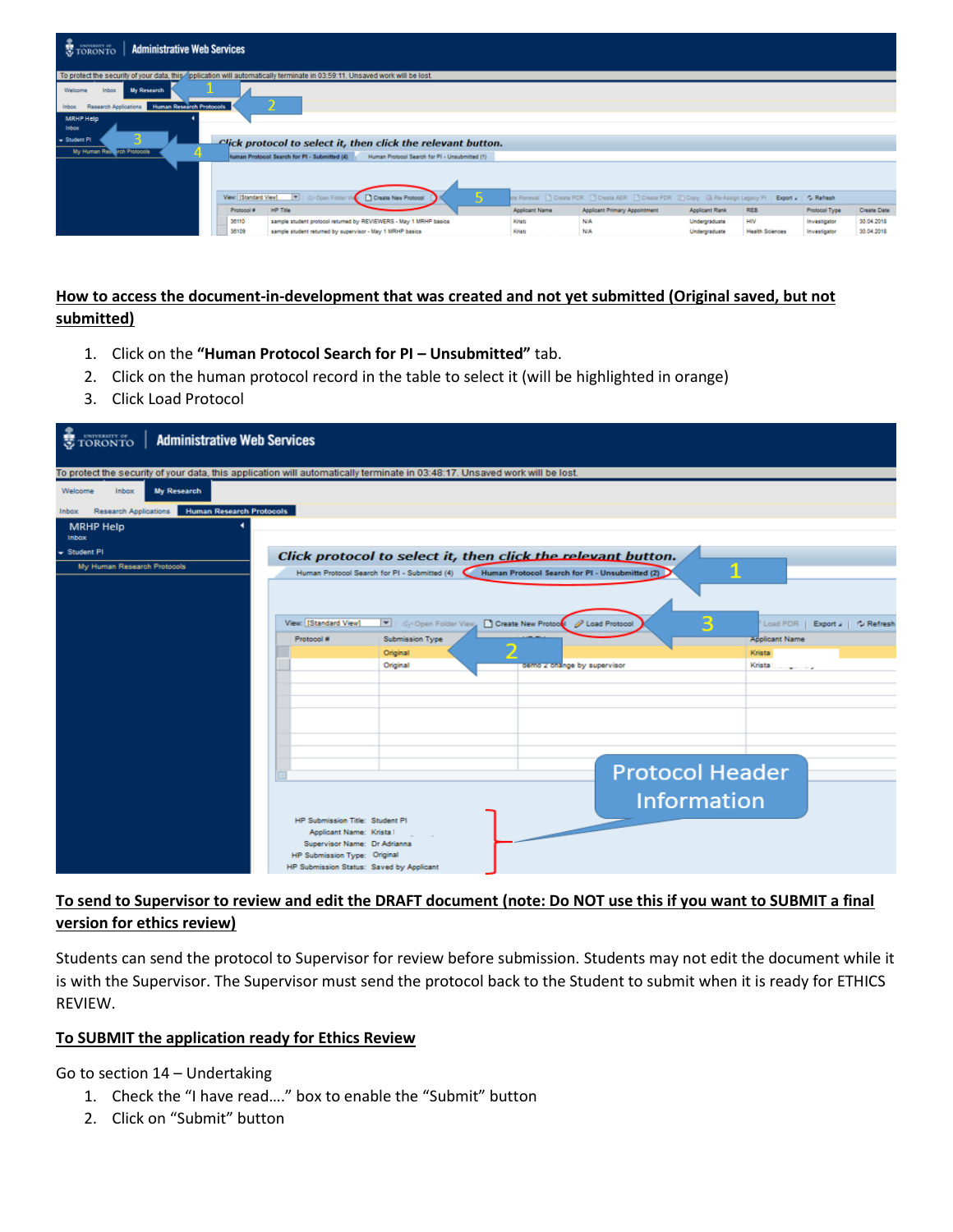

# **How to access the document-in-development that was created and not yet submitted (Original saved, but not submitted)**

- 1. Click on the **"Human Protocol Search for PI – Unsubmitted"** tab.
- 2. Click on the human protocol record in the table to select it (will be highlighted in orange)
- 3. Click Load Protocol

| <b>TORONTO</b><br><b>Administrative Web Services</b>                                                                        |                                                        |                                              |                                                              |                               |
|-----------------------------------------------------------------------------------------------------------------------------|--------------------------------------------------------|----------------------------------------------|--------------------------------------------------------------|-------------------------------|
| To protect the security of your data, this application will automatically terminate in 03:48:17. Unsaved work will be lost. |                                                        |                                              |                                                              |                               |
| <b>My Research</b><br>Inbox<br>Welcome                                                                                      |                                                        |                                              |                                                              |                               |
| <b>Human Research Protocols</b><br>Research Applications<br><b>Inbox</b>                                                    |                                                        |                                              |                                                              |                               |
| <b>MRHP Help</b><br><b>Inbox</b>                                                                                            |                                                        |                                              |                                                              |                               |
| - Student PI                                                                                                                |                                                        |                                              | Click protocol to select it, then click the relevant button. |                               |
| My Human Research Protocols                                                                                                 |                                                        | Human Protocol Search for PI - Submitted (4) | Human Protocol Search for PI - Unsubmitted (2)               |                               |
|                                                                                                                             |                                                        |                                              |                                                              |                               |
|                                                                                                                             | View: [Standard View]                                  | Create New Protocol                          | 2 Load Protocol                                              | Load PDR   Export   C Refresh |
|                                                                                                                             | Protocol #                                             | Submission Type                              |                                                              | <b>Applicant Name</b>         |
|                                                                                                                             |                                                        | Original<br>Original                         | demo z change by supervisor                                  | Krista<br>Krista Longonicus   |
|                                                                                                                             |                                                        |                                              |                                                              |                               |
|                                                                                                                             |                                                        |                                              |                                                              |                               |
|                                                                                                                             |                                                        |                                              |                                                              |                               |
|                                                                                                                             |                                                        |                                              |                                                              |                               |
|                                                                                                                             |                                                        |                                              |                                                              |                               |
|                                                                                                                             |                                                        |                                              |                                                              |                               |
|                                                                                                                             |                                                        |                                              |                                                              | <b>Protocol Header</b>        |
|                                                                                                                             |                                                        |                                              |                                                              | <b>Information</b>            |
|                                                                                                                             | HP Submission Title: Student PI                        |                                              |                                                              |                               |
|                                                                                                                             | Applicant Name: Krista<br>Supervisor Name: Dr Adrianna |                                              |                                                              |                               |
|                                                                                                                             | HP Submission Type: Original                           |                                              |                                                              |                               |
|                                                                                                                             | HP Submission Status: Saved by Applicant               |                                              |                                                              |                               |

# **To send to Supervisor to review and edit the DRAFT document (note: Do NOT use this if you want to SUBMIT a final version for ethics review)**

Students can send the protocol to Supervisor for review before submission. Students may not edit the document while it is with the Supervisor. The Supervisor must send the protocol back to the Student to submit when it is ready for ETHICS REVIEW.

#### **To SUBMIT the application ready for Ethics Review**

Go to section 14 – Undertaking

- 1. Check the "I have read…." box to enable the "Submit" button
- 2. Click on "Submit" button